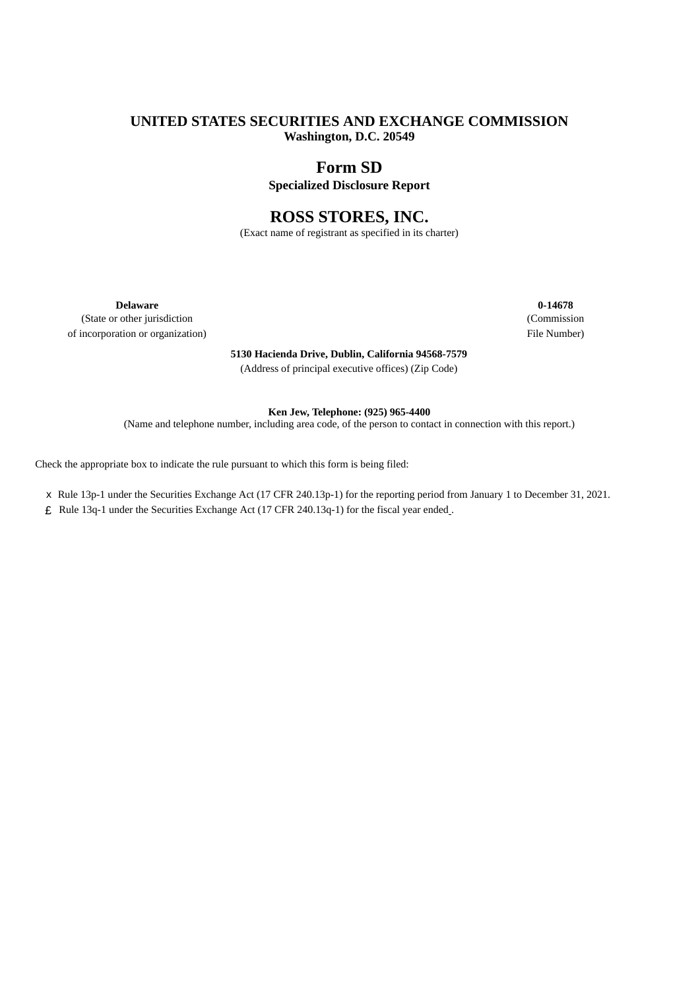# **UNITED STATES SECURITIES AND EXCHANGE COMMISSION Washington, D.C. 20549**

# **Form SD**

**Specialized Disclosure Report**

# **ROSS STORES, INC.**

(Exact name of registrant as specified in its charter)

(State or other jurisdiction (Commission of incorporation or organization) File Number)

> **5130 Hacienda Drive, Dublin, California 94568-7579** (Address of principal executive offices) (Zip Code)

**Delaware 0-14678**

#### **Ken Jew, Telephone: (925) 965-4400**

(Name and telephone number, including area code, of the person to contact in connection with this report.)

Check the appropriate box to indicate the rule pursuant to which this form is being filed:

- x Rule 13p-1 under the Securities Exchange Act (17 CFR 240.13p-1) for the reporting period from January 1 to December 31, 2021.
- £ Rule 13q-1 under the Securities Exchange Act (17 CFR 240.13q-1) for the fiscal year ended .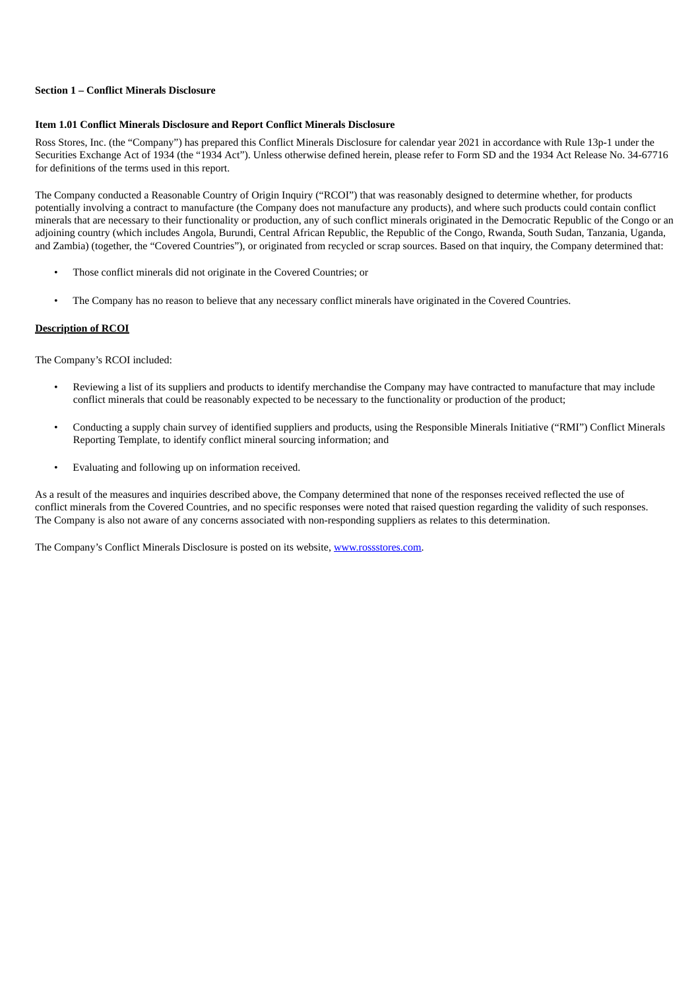#### **Section 1 – Conflict Minerals Disclosure**

#### **Item 1.01 Conflict Minerals Disclosure and Report Conflict Minerals Disclosure**

Ross Stores, Inc. (the "Company") has prepared this Conflict Minerals Disclosure for calendar year 2021 in accordance with Rule 13p-1 under the Securities Exchange Act of 1934 (the "1934 Act"). Unless otherwise defined herein, please refer to Form SD and the 1934 Act Release No. 34-67716 for definitions of the terms used in this report.

The Company conducted a Reasonable Country of Origin Inquiry ("RCOI") that was reasonably designed to determine whether, for products potentially involving a contract to manufacture (the Company does not manufacture any products), and where such products could contain conflict minerals that are necessary to their functionality or production, any of such conflict minerals originated in the Democratic Republic of the Congo or an adjoining country (which includes Angola, Burundi, Central African Republic, the Republic of the Congo, Rwanda, South Sudan, Tanzania, Uganda, and Zambia) (together, the "Covered Countries"), or originated from recycled or scrap sources. Based on that inquiry, the Company determined that:

- Those conflict minerals did not originate in the Covered Countries; or
- The Company has no reason to believe that any necessary conflict minerals have originated in the Covered Countries.

#### **Description of RCOI**

The Company's RCOI included:

- Reviewing a list of its suppliers and products to identify merchandise the Company may have contracted to manufacture that may include conflict minerals that could be reasonably expected to be necessary to the functionality or production of the product;
- Conducting a supply chain survey of identified suppliers and products, using the Responsible Minerals Initiative ("RMI") Conflict Minerals Reporting Template, to identify conflict mineral sourcing information; and
- Evaluating and following up on information received.

As a result of the measures and inquiries described above, the Company determined that none of the responses received reflected the use of conflict minerals from the Covered Countries, and no specific responses were noted that raised question regarding the validity of such responses. The Company is also not aware of any concerns associated with non-responding suppliers as relates to this determination.

The Company's Conflict Minerals Disclosure is posted on its website, www.rossstores.com.